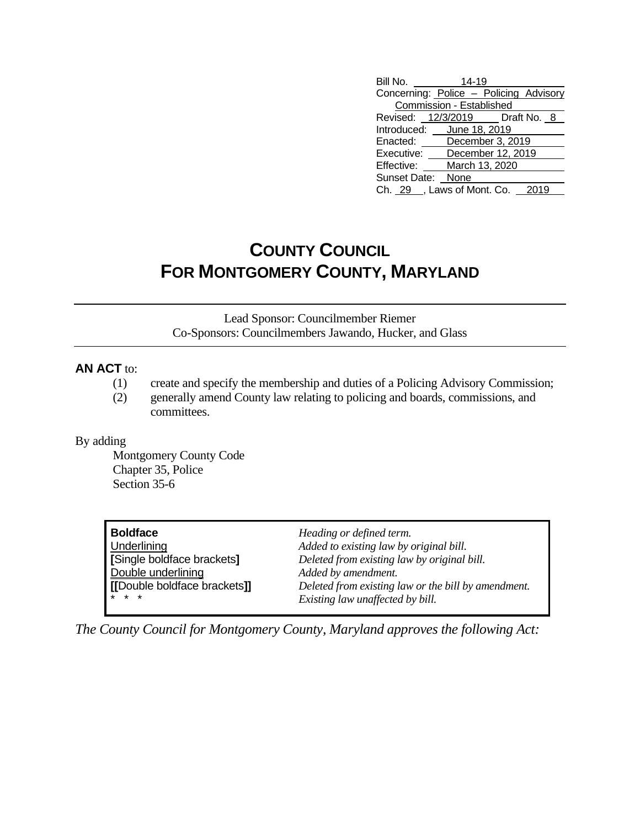| Bill No.                               | $14 - 19$                |      |
|----------------------------------------|--------------------------|------|
| Concerning: Police - Policing Advisory |                          |      |
|                                        | Commission - Established |      |
| Revised: 12/3/2019   Draft No. 8       |                          |      |
| Introduced: June 18, 2019              |                          |      |
| Enacted:                               | December 3, 2019         |      |
| Executive: December 12, 2019           |                          |      |
| Effective: March 13, 2020              |                          |      |
| Sunset Date: None                      |                          |      |
| Ch. 29, Laws of Mont. Co.              |                          | 2019 |

## **COUNTY COUNCIL FOR MONTGOMERY COUNTY, MARYLAND**

Lead Sponsor: Councilmember Riemer Co-Sponsors: Councilmembers Jawando, Hucker, and Glass

## **AN ACT** to:

- (1) create and specify the membership and duties of a Policing Advisory Commission;
- (2) generally amend County law relating to policing and boards, commissions, and committees.

## By adding

Montgomery County Code Chapter 35, Police Section 35-6

**Boldface** *Heading or defined term.* Double underlining *Added by amendment.*

Underlining *Added to existing law by original bill.* **[**Single boldface brackets**]** *Deleted from existing law by original bill.* **[[**Double boldface brackets**]]** *Deleted from existing law or the bill by amendment.*  $Existing law$  *unaffected* by bill.

*The County Council for Montgomery County, Maryland approves the following Act:*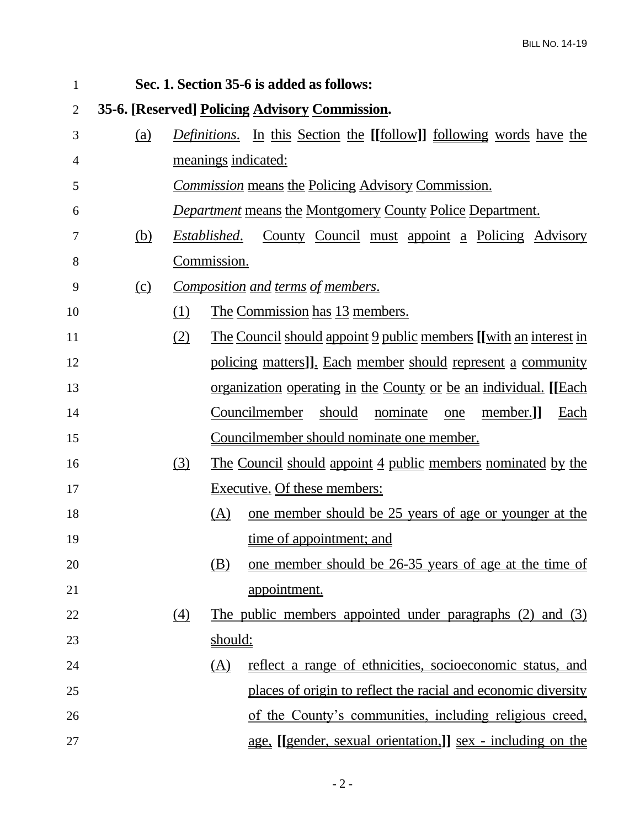| 1              | Sec. 1. Section 35-6 is added as follows:      |                                                                                    |                |                                                                          |  |  |
|----------------|------------------------------------------------|------------------------------------------------------------------------------------|----------------|--------------------------------------------------------------------------|--|--|
| $\overline{2}$ | 35-6. [Reserved] Policing Advisory Commission. |                                                                                    |                |                                                                          |  |  |
| 3              | (a)                                            | <i>Definitions.</i> In this Section the [[follow]] <u>following</u> words have the |                |                                                                          |  |  |
| 4              |                                                |                                                                                    |                | meanings indicated:                                                      |  |  |
| 5              |                                                | <i>Commission</i> means the Policing Advisory Commission.                          |                |                                                                          |  |  |
| 6              |                                                |                                                                                    |                | <b>Department means the Montgomery County Police Department.</b>         |  |  |
| 7              | (b)                                            | County Council must appoint a Policing Advisory<br>Established.                    |                |                                                                          |  |  |
| 8              |                                                | Commission.                                                                        |                |                                                                          |  |  |
| 9              | <u>(c)</u>                                     | Composition and terms of members.                                                  |                |                                                                          |  |  |
| 10             |                                                | (1)                                                                                |                | The Commission has 13 members.                                           |  |  |
| 11             |                                                | (2)                                                                                |                | <u>The Council should appoint 9 public members [[with an interest in</u> |  |  |
| 12             |                                                |                                                                                    |                | policing matters]]. Each member should represent a community             |  |  |
| 13             |                                                |                                                                                    |                | <u>organization operating in the County or be an individual.</u> [[Each  |  |  |
| 14             |                                                |                                                                                    |                | Councilmember<br>nominate<br>should<br>member.]<br><u>Each</u><br>one    |  |  |
| 15             |                                                |                                                                                    |                | Councilmember should nominate one member.                                |  |  |
| 16             |                                                | $\left(3\right)$                                                                   |                | <u>The Council should appoint 4 public members nominated by the</u>      |  |  |
| 17             |                                                |                                                                                    |                | Executive. Of these members:                                             |  |  |
| 18             |                                                |                                                                                    | <u>(A)</u>     | <u>one member should be 25 years of age or younger at the</u>            |  |  |
| 19             |                                                |                                                                                    |                | time of appointment; and                                                 |  |  |
| 20             |                                                |                                                                                    | (B)            | one member should be 26-35 years of age at the time of                   |  |  |
| 21             |                                                |                                                                                    |                | appointment.                                                             |  |  |
| 22             |                                                | (4)                                                                                |                | The public members appointed under paragraphs (2) and (3)                |  |  |
| 23             |                                                |                                                                                    | <u>should:</u> |                                                                          |  |  |
| 24             |                                                |                                                                                    | (A)            | reflect a range of ethnicities, socioeconomic status, and                |  |  |
| 25             |                                                |                                                                                    |                | places of origin to reflect the racial and economic diversity            |  |  |
| 26             |                                                |                                                                                    |                | of the County's communities, including religious creed,                  |  |  |
| 27             |                                                |                                                                                    |                | <u>age, [[gender, sexual orientation.]] sex - including on the</u>       |  |  |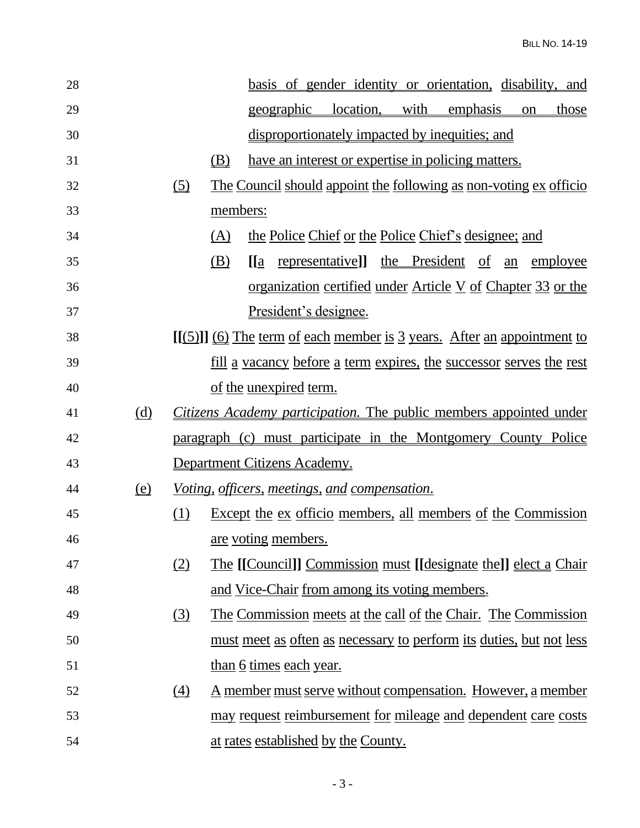| 28 |                              |                                                                            |          |       |                                |                                                      |  | basis of gender identity or orientation, disability, and                   |    |              |
|----|------------------------------|----------------------------------------------------------------------------|----------|-------|--------------------------------|------------------------------------------------------|--|----------------------------------------------------------------------------|----|--------------|
| 29 |                              |                                                                            |          |       | <u>geographic</u>              | location, with                                       |  | emphasis                                                                   | on | <u>those</u> |
| 30 |                              |                                                                            |          |       |                                |                                                      |  | disproportionately impacted by inequities; and                             |    |              |
| 31 |                              |                                                                            | (B)      |       |                                |                                                      |  | have an interest or expertise in policing matters.                         |    |              |
| 32 |                              | $\circ$                                                                    |          |       |                                |                                                      |  | The Council should appoint the following as non-voting ex officio          |    |              |
| 33 |                              |                                                                            | members: |       |                                |                                                      |  |                                                                            |    |              |
| 34 |                              |                                                                            | (A)      |       |                                |                                                      |  | the Police Chief or the Police Chief's designee; and                       |    |              |
| 35 |                              |                                                                            | (B)      | [ a ] |                                | <u>representative</u> ]] the President of            |  |                                                                            | an | employee     |
| 36 |                              |                                                                            |          |       |                                |                                                      |  | <u>organization certified under Article V of Chapter 33 or the</u>         |    |              |
| 37 |                              |                                                                            |          |       | President's designee.          |                                                      |  |                                                                            |    |              |
| 38 |                              | $[[(5)]]$ (6) The term of each member is 3 years. After an appointment to  |          |       |                                |                                                      |  |                                                                            |    |              |
| 39 |                              | <u>fill a vacancy before a term expires, the successor serves the rest</u> |          |       |                                |                                                      |  |                                                                            |    |              |
| 40 |                              |                                                                            |          |       | of the unexpired term.         |                                                      |  |                                                                            |    |              |
| 41 | (d)                          | <i>Citizens Academy participation.</i> The public members appointed under  |          |       |                                |                                                      |  |                                                                            |    |              |
| 42 |                              |                                                                            |          |       |                                |                                                      |  | paragraph (c) must participate in the Montgomery County Police             |    |              |
| 43 |                              |                                                                            |          |       | Department Citizens Academy.   |                                                      |  |                                                                            |    |              |
| 44 | $\left(\underline{e}\right)$ |                                                                            |          |       |                                | <i>Voting, officers, meetings, and compensation.</i> |  |                                                                            |    |              |
| 45 |                              | (1)                                                                        |          |       |                                |                                                      |  | <u>Except the ex officio members, all members of the Commission</u>        |    |              |
| 46 |                              |                                                                            |          |       | are voting members.            |                                                      |  |                                                                            |    |              |
| 47 |                              | (2)                                                                        |          |       |                                |                                                      |  | <u>The [[Council]] Commission must [[designate the]] elect a Chair</u>     |    |              |
| 48 |                              |                                                                            |          |       |                                | and Vice-Chair from among its voting members.        |  |                                                                            |    |              |
| 49 |                              | (3)                                                                        |          |       |                                |                                                      |  | The Commission meets at the call of the Chair. The Commission              |    |              |
| 50 |                              |                                                                            |          |       |                                |                                                      |  | <u>must meet as often as necessary to perform its duties, but not less</u> |    |              |
| 51 |                              |                                                                            |          |       | <u>than 6 times each year.</u> |                                                      |  |                                                                            |    |              |
| 52 |                              | (4)                                                                        |          |       |                                |                                                      |  | <u>A member must serve without compensation. However, a member</u>         |    |              |
| 53 |                              |                                                                            |          |       |                                |                                                      |  | may request reimbursement for mileage and dependent care costs             |    |              |
| 54 |                              |                                                                            |          |       |                                | at rates established by the County.                  |  |                                                                            |    |              |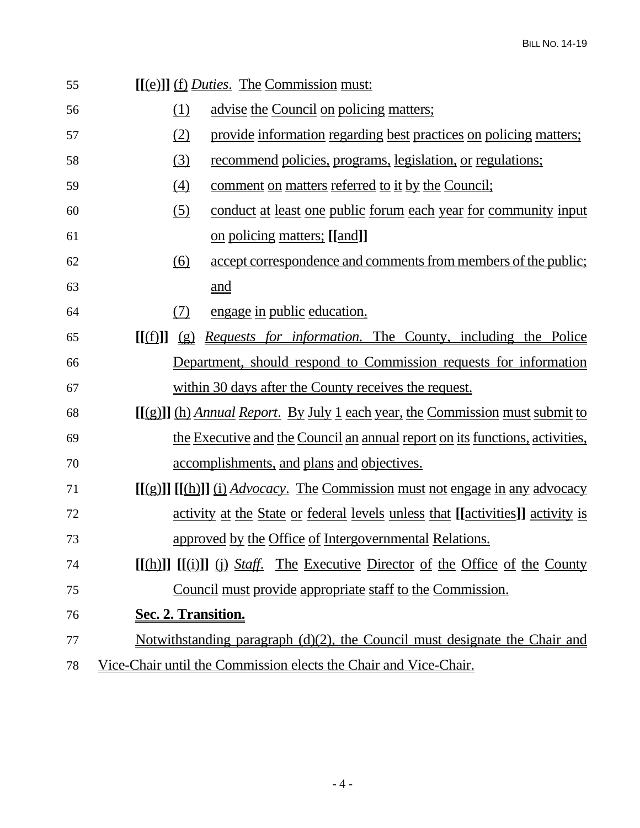| 55 |                                 | [[(e)]] (f) <i>Duties</i> . The Commission must:                                                                                       |
|----|---------------------------------|----------------------------------------------------------------------------------------------------------------------------------------|
| 56 | <u>(1)</u>                      | advise the Council on policing matters;                                                                                                |
| 57 | (2)                             | provide information regarding best practices on policing matters;                                                                      |
| 58 | (3)                             | <u>recommend policies, programs, legislation, or regulations;</u>                                                                      |
| 59 | (4)                             | comment on matters referred to it by the Council;                                                                                      |
| 60 | $\left( 5\right)$               | conduct at least one public forum each year for community input                                                                        |
| 61 |                                 | <u>on policing matters; [[and]]</u>                                                                                                    |
| 62 | (6)                             | accept correspondence and comments from members of the public;                                                                         |
| 63 |                                 | and                                                                                                                                    |
| 64 | (7)                             | engage in public education.                                                                                                            |
| 65 | $\mathbf{I}(\mathbf{f})$<br>(g) | <i>Requests for information.</i> The County, including the Police                                                                      |
| 66 |                                 | Department, should respond to Commission requests for information                                                                      |
| 67 |                                 | within 30 days after the County receives the request.                                                                                  |
| 68 |                                 | $[[(g)]]$ (h) Annual Report. By July 1 each year, the Commission must submit to                                                        |
| 69 |                                 | the Executive and the Council an annual report on its functions, activities,                                                           |
| 70 |                                 | accomplishments, and plans and objectives.                                                                                             |
| 71 |                                 | $[(g)]] [[(\underline{h})]] (i) Advocacy.$ The Commission must not engage in any advocacy                                              |
| 72 |                                 | activity at the State or federal levels unless that [[activities]] activity is                                                         |
| 73 |                                 | approved by the Office of Intergovernmental Relations.                                                                                 |
| 74 |                                 | $[(\text{h})]$ $[(\text{u})]$ $(\text{i})$ $\frac{\text{Staff.}}{\text{the} \to \text{Exercise}}$ Director of the Office of the County |
| 75 |                                 | Council must provide appropriate staff to the Commission.                                                                              |
| 76 | Sec. 2. Transition.             |                                                                                                                                        |
| 77 |                                 | Notwithstanding paragraph $(d)(2)$ , the Council must designate the Chair and                                                          |
| 78 |                                 | Vice-Chair until the Commission elects the Chair and Vice-Chair.                                                                       |